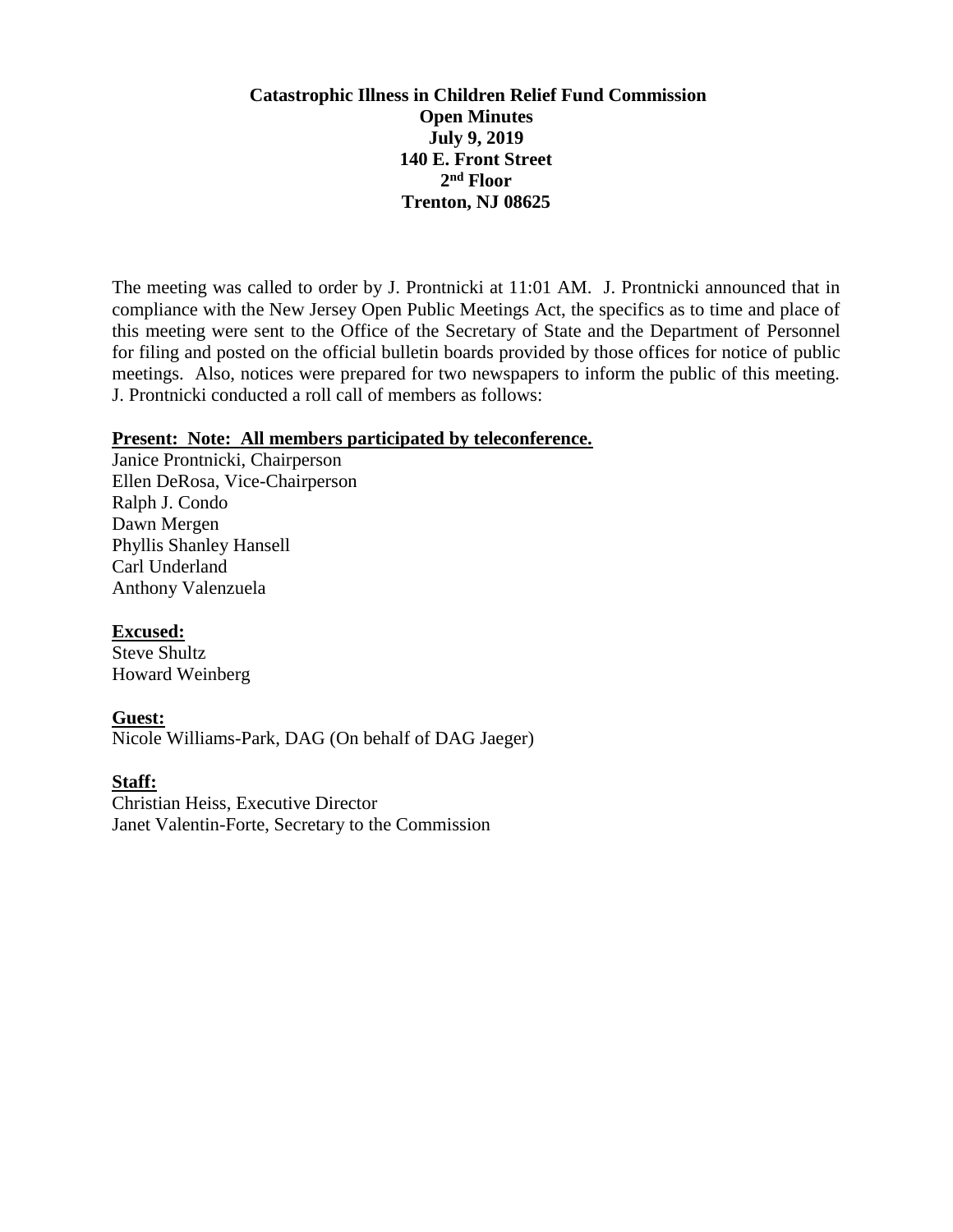# **Catastrophic Illness in Children Relief Fund Commission Open Minutes July 9, 2019 140 E. Front Street 2 nd Floor Trenton, NJ 08625**

The meeting was called to order by J. Prontnicki at 11:01 AM. J. Prontnicki announced that in compliance with the New Jersey Open Public Meetings Act, the specifics as to time and place of this meeting were sent to the Office of the Secretary of State and the Department of Personnel for filing and posted on the official bulletin boards provided by those offices for notice of public meetings. Also, notices were prepared for two newspapers to inform the public of this meeting. J. Prontnicki conducted a roll call of members as follows:

### **Present: Note: All members participated by teleconference.**

Janice Prontnicki, Chairperson Ellen DeRosa, Vice-Chairperson Ralph J. Condo Dawn Mergen Phyllis Shanley Hansell Carl Underland Anthony Valenzuela

# **Excused:**

Steve Shultz Howard Weinberg

# **Guest:**

Nicole Williams-Park, DAG (On behalf of DAG Jaeger)

## **Staff:**

Christian Heiss, Executive Director Janet Valentin-Forte, Secretary to the Commission